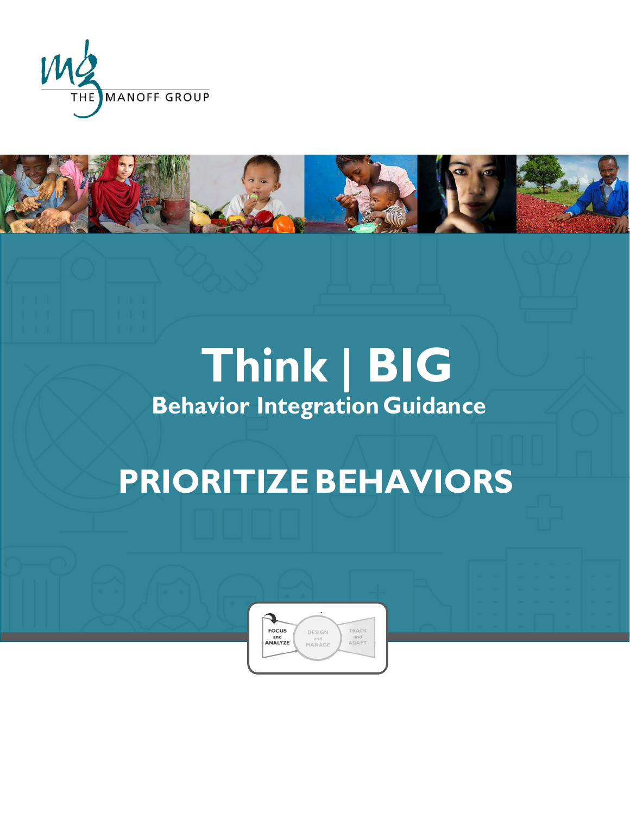



# **Think | BIG Behavior Integration Guidance**

# **PRIORITIZEBEHAVIORS**

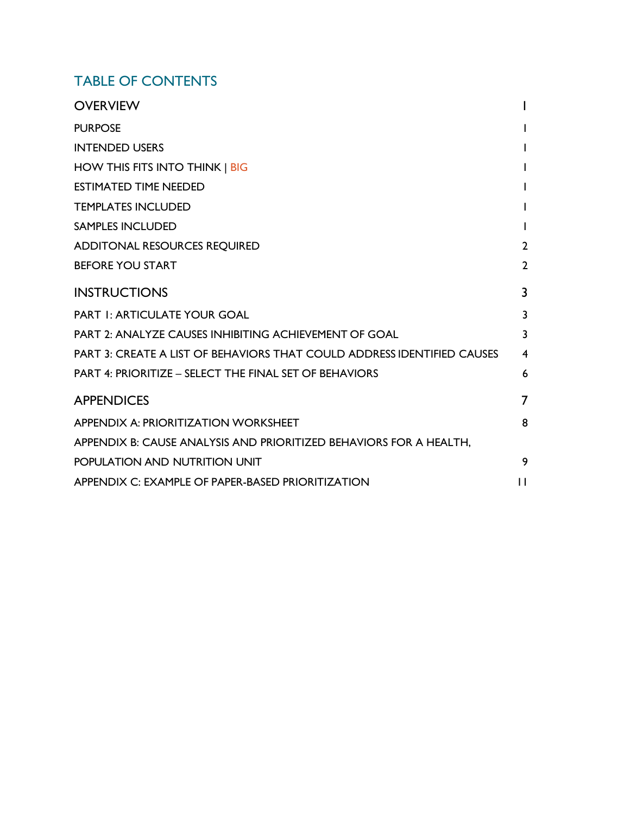# TABLE OF CONTENTS

| <b>OVERVIEW</b>                                                                |                |
|--------------------------------------------------------------------------------|----------------|
| <b>PURPOSE</b>                                                                 |                |
| <b>INTENDED USERS</b>                                                          |                |
| HOW THIS FITS INTO THINK   BIG                                                 |                |
| <b>ESTIMATED TIME NEEDED</b>                                                   |                |
| <b>TEMPLATES INCLUDED</b>                                                      |                |
| <b>SAMPLES INCLUDED</b>                                                        |                |
| ADDITONAL RESOURCES REQUIRED                                                   | $\overline{2}$ |
| <b>BEFORE YOU START</b>                                                        | $\overline{2}$ |
| <b>INSTRUCTIONS</b>                                                            | 3              |
| <b>PART I: ARTICULATE YOUR GOAL</b>                                            | 3              |
| <b>PART 2: ANALYZE CAUSES INHIBITING ACHIEVEMENT OF GOAL</b>                   | 3              |
| <b>PART 3: CREATE A LIST OF BEHAVIORS THAT COULD ADDRESS IDENTIFIED CAUSES</b> | 4              |
| <b>PART 4: PRIORITIZE - SELECT THE FINAL SET OF BEHAVIORS</b>                  | 6              |
| <b>APPENDICES</b>                                                              | 7              |
| <b>APPENDIX A: PRIORITIZATION WORKSHEET</b>                                    | 8              |
| APPENDIX B: CAUSE ANALYSIS AND PRIORITIZED BEHAVIORS FOR A HEALTH,             |                |
| POPULATION AND NUTRITION UNIT                                                  | 9              |
| APPENDIX C: EXAMPLE OF PAPER-BASED PRIORITIZATION                              | $\mathsf{H}$   |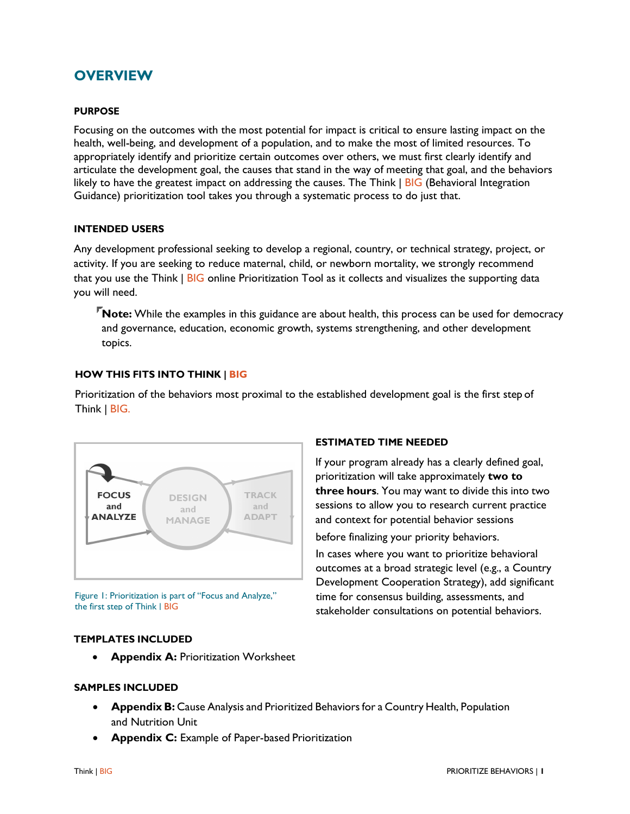# <span id="page-2-0"></span>**OVERVIEW**

#### <span id="page-2-1"></span>**PURPOSE**

Focusing on the outcomes with the most potential for impact is critical to ensure lasting impact on the health, well-being, and development of a population, and to make the most of limited resources. To appropriately identify and prioritize certain outcomes over others, we must first clearly identify and articulate the development goal, the causes that stand in the way of meeting that goal, and the behaviors likely to have the greatest impact on addressing the causes. The Think | BIG (Behavioral Integration Guidance) prioritization tool takes you through a systematic process to do just that.

#### <span id="page-2-2"></span>**INTENDED USERS**

Any development professional seeking to develop a regional, country, or technical strategy, project, or activity. If you are seeking to reduce maternal, child, or newborn mortality, we strongly recommend that you use the Think | BIG online [Prioritization Tool a](https://thinkbigonline.org/tools#content1)s it collects and visualizes the supporting data you will need.

**Note:** While the examples in this guidance are about health, this process can be used for democracy and governance, education, economic growth, systems strengthening, and other development topics.

#### **HOW THIS FITS INTO THINK | BIG**

Prioritization of the behaviors most proximal to the established development goal is the first step of Think | BIG.



Figure 1: Prioritization is part of "Focus and Analyze," the first step of Think | BIG

#### <span id="page-2-6"></span>**TEMPLATES INCLUDED**

• **Appendix A:** Prioritization Worksheet

#### <span id="page-2-4"></span><span id="page-2-3"></span>**ESTIMATED TIME NEEDED**

If your program already has a clearly defined goal, prioritization will take approximately **two to three hours**. You may want to divide this into two sessions to allow you to research current practice and context for potential behavior sessions

before finalizing your priority behaviors.

<span id="page-2-5"></span>In cases where you want to prioritize behavioral outcomes at a broad strategic level (e.g., a Country Development Cooperation Strategy), add significant time for consensus building, assessments, and stakeholder consultations on potential behaviors.

#### **SAMPLES INCLUDED**

- **Appendix B:** Cause Analysis and Prioritized Behaviors for a Country Health, Population and Nutrition Unit
- **Appendix C:** Example of Paper-based Prioritization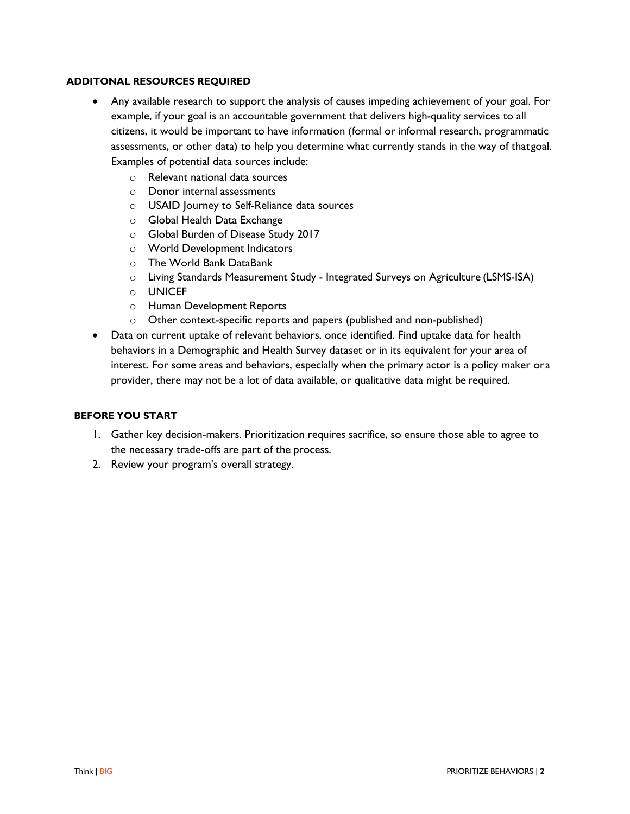#### <span id="page-3-0"></span>**ADDITONAL RESOURCES REQUIRED**

- Any available research to support the analysis of causes impeding achievement of your goal. For example, if your goal is an accountable government that delivers high-quality services to all citizens, it would be important to have information (formal or informal research, programmatic assessments, or other data) to help you determine what currently stands in the way of thatgoal. Examples of potential data sources include:
	- o Relevant national data sources
	- o Donor internal assessments
	- o [USAID Journey to Self-Reliance data](https://www.usaid.gov/sites/default/files/documents/1870/J2SR_Fact_Sheet.pdf) sources
	- o [Global Health Data](http://ghdx.healthdata.org/) Exchange
	- o [Global Burden of Disease Study 2017](http://ghdx.healthdata.org/gbd-2017)
	- o [World Development Indicators](http://datatopics.worldbank.org/world-development-indicators/)
	- o [The World Bank](https://databank.worldbank.org/home) DataBank
	- o [Living Standards Measurement Study Integrated Surveys on Agriculture](http://ghdx.healthdata.org/series/living-standards-measurement-study-integrated-surveys-agriculture-lsms-isa) (LSMS-ISA)
	- o [UNICEF](https://data.unicef.org/)
	- o [Human Development](http://hdr.undp.org/) Reports
	- o Other context-specific reports and papers (published and non-published)
- Data on current uptake of relevant behaviors, once identified. Find uptake data for health behaviors in a [Demographic and Health Survey d](https://www.dhsprogram.com/)ataset or in its equivalent for your area of interest. For some areas and behaviors, especially when the primary actor is a policy maker ora provider, there may not be a lot of data available, or qualitative data might be required.

#### <span id="page-3-1"></span>**BEFORE YOU START**

- 1. Gather key decision-makers. Prioritization requires sacrifice, so ensure those able to agree to the necessary trade-offs are part of the process.
- 2. Review your program's overall strategy.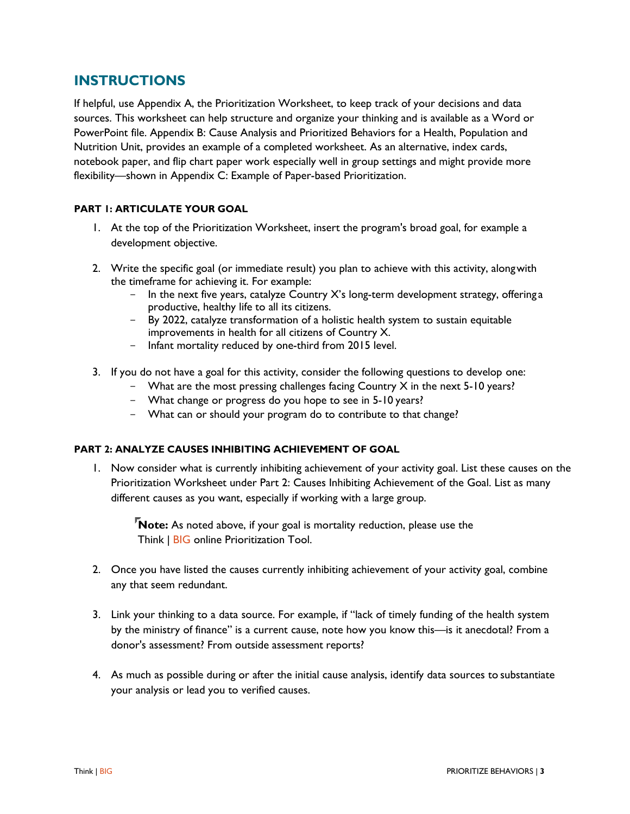## <span id="page-4-3"></span><span id="page-4-0"></span>**INSTRUCTIONS**

If helpful, use Appendix A, the Prioritization Worksheet, to keep track of your decisions and data sources. This worksheet can help structure and organize your thinking and is available as a Word or PowerPoint file. Appendix B: Cause Analysis and Prioritized Behaviors for a Health, Population and Nutrition Unit, provides an example of a completed worksheet. As an alternative, index cards, notebook paper, and flip chart paper work especially well in group settings and might provide more flexibility—shown in Appendix C: Example of Paper-based Prioritization.

#### <span id="page-4-1"></span>**PART 1: ARTICULATE YOUR GOAL**

- 1. At the top of the Prioritization Worksheet, insert the program's broad goal, for example a development objective.
- 2. Write the specific goal (or immediate result) you plan to achieve with this activity, alongwith the timeframe for achieving it. For example:
	- In the next five years, catalyze Country X's long-term development strategy, offering a productive, healthy life to all its citizens.
	- By 2022, catalyze transformation of a holistic health system to sustain equitable improvements in health for all citizens of Country X.
	- Infant mortality reduced by one-third from 2015 level.
- 3. If you do not have a goal for this activity, consider the following questions to develop one:
	- What are the most pressing challenges facing Country  $X$  in the next 5-10 years?
		- What change or progress do you hope to see in 5-10 years?
		- What can or should your program do to contribute to that change?

#### <span id="page-4-2"></span>**PART 2: ANALYZE CAUSES INHIBITING ACHIEVEMENT OF GOAL**

1. Now consider what is currently inhibiting achievement of your activity goal. List these causes on the Prioritization Worksheet under Part 2: Causes Inhibiting Achievement of the Goal. List as many different causes as you want, especially if working with a large group.

**Note:** As noted above, if your goal is mortality reduction, please use the Think | BIG online [Prioritization Tool.](https://thinkbigonline.org/tools#content1)

- 2. Once you have listed the causes currently inhibiting achievement of your activity goal, combine any that seem redundant.
- 3. Link your thinking to a data source. For example, if "lack of timely funding of the health system by the ministry of finance" is a current cause, note how you know this—is it anecdotal? From a donor's assessment? From outside assessment reports?
- 4. As much as possible during or after the initial cause analysis, identify data sources to substantiate your analysis or lead you to verified causes.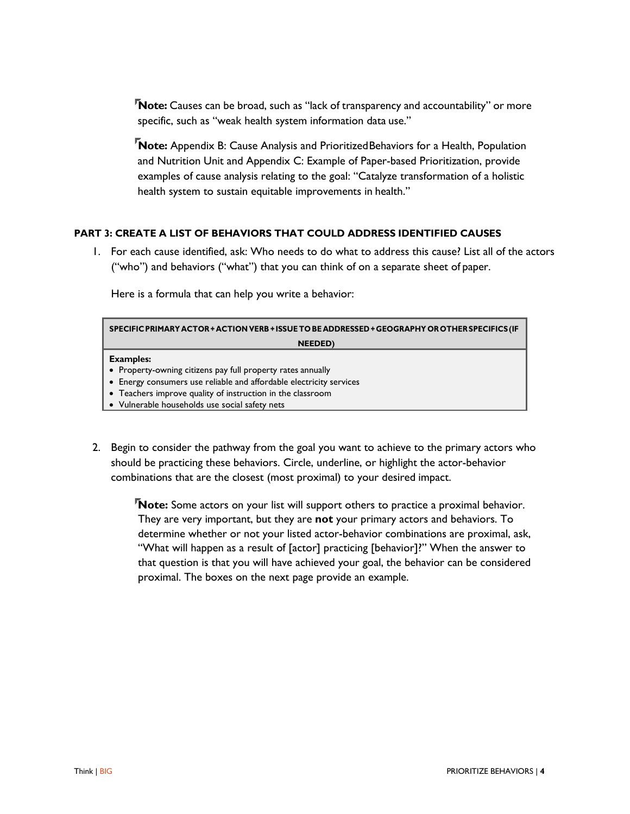**Note:** Causes can be broad, such as "lack of transparency and accountability" or more specific, such as "weak health system information data use."

**Note:** Appendix B: Cause Analysis and PrioritizedBehaviors for a Health, Population and Nutrition Unit and Appendix C: Example of Paper-based Prioritization, provide examples of cause analysis relating to the goal: "Catalyze transformation of a holistic health system to sustain equitable improvements in health."

#### <span id="page-5-0"></span>**PART 3: CREATE A LIST OF BEHAVIORS THAT COULD ADDRESS IDENTIFIED CAUSES**

1. For each cause identified, ask: Who needs to do what to address this cause? List all of the actors ("who") and behaviors ("what") that you can think of on a separate sheet of paper.

Here is a formula that can help you write a behavior:

| SPECIFIC PRIMARY ACTOR + ACTION VERB + ISSUE TO BE ADDRESSED + GEOGRAPHY OR OTHER SPECIFICS (IF |
|-------------------------------------------------------------------------------------------------|
| <b>NEEDED)</b>                                                                                  |
| <b>Examples:</b>                                                                                |
| • Property-owning citizens pay full property rates annually                                     |
| • Energy consumers use reliable and affordable electricity services                             |
| • Teachers improve quality of instruction in the classroom                                      |
| • Vulnerable households use social safety nets                                                  |

2. Begin to consider the pathway from the goal you want to achieve to the primary actors who should be practicing these behaviors. Circle, underline, or highlight the actor-behavior combinations that are the closest (most proximal) to your desired impact.

**Note:** Some actors on your list will support others to practice a proximal behavior. They are very important, but they are **not** your primary actors and behaviors. To determine whether or not your listed actor-behavior combinations are proximal, ask, "What will happen as a result of [actor] practicing [behavior]?" When the answer to that question is that you will have achieved your goal, the behavior can be considered proximal. The boxes on the next page provide an example.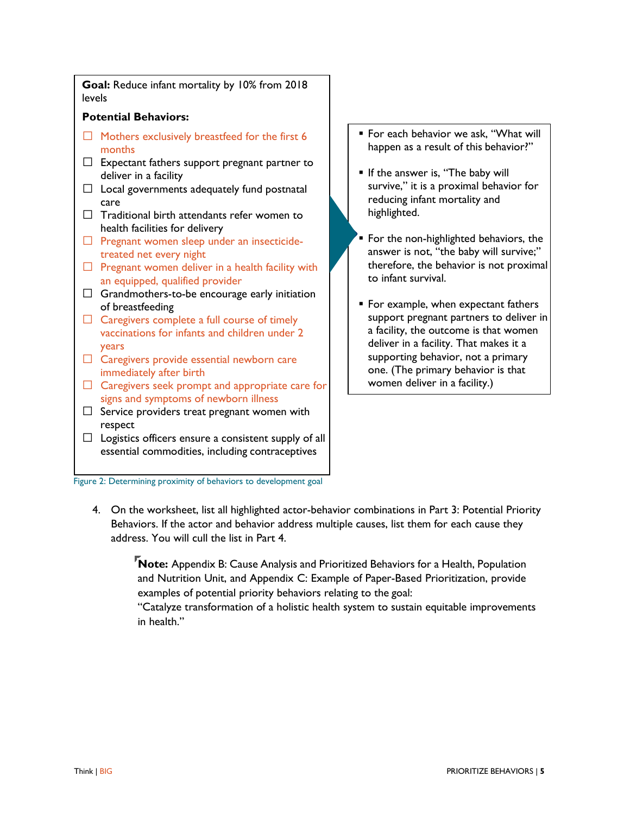**Goal:** Reduce infant mortality by 10% from 2018 levels **Potential Behaviors:**  $\Box$  Mothers exclusively breastfeed for the first 6 months  $\Box$  Expectant fathers support pregnant partner to deliver in a facility  $\Box$  Local governments adequately fund postnatal care  $\Box$  Traditional birth attendants refer women to health facilities for delivery  $\Box$  Pregnant women sleep under an insecticidetreated net every night  $\Box$  Pregnant women deliver in a health facility with an equipped, qualified provider  $\Box$  Grandmothers-to-be encourage early initiation of breastfeeding  $\Box$  Caregivers complete a full course of timely vaccinations for infants and children under 2 years  $\Box$  Caregivers provide essential newborn care immediately after birth  $\Box$  Caregivers seek prompt and appropriate care for signs and symptoms of newborn illness  $\Box$  Service providers treat pregnant women with respect  $\Box$  Logistics officers ensure a consistent supply of all

- **For each behavior we ask, "What will** happen as a result of this behavior?"
- **If the answer is, "The baby will** survive," it is a proximal behavior for reducing infant mortality and highlighted.
- For the non-highlighted behaviors, the answer is not, "the baby will survive;" therefore, the behavior is not proximal to infant survival.
- **For example, when expectant fathers** support pregnant partners to deliver in a facility, the outcome is that women deliver in a facility. That makes it a supporting behavior, not a primary one. (The primary behavior is that women deliver in a facility.)

Figure 2: Determining proximity of behaviors to development goal

essential commodities, including contraceptives

4. On the worksheet, list all highlighted actor-behavior combinations in Part 3: Potential Priority Behaviors. If the actor and behavior address multiple causes, list them for each cause they address. You will cull the list in Part 4.

**Note:** Appendix B: Cause Analysis and Prioritized Behaviors for a Health, Population and Nutrition Unit, and Appendix C: Example of Paper-Based Prioritization, provide examples of potential priority behaviors relating to the goal:

"Catalyze transformation of a holistic health system to sustain equitable improvements in health."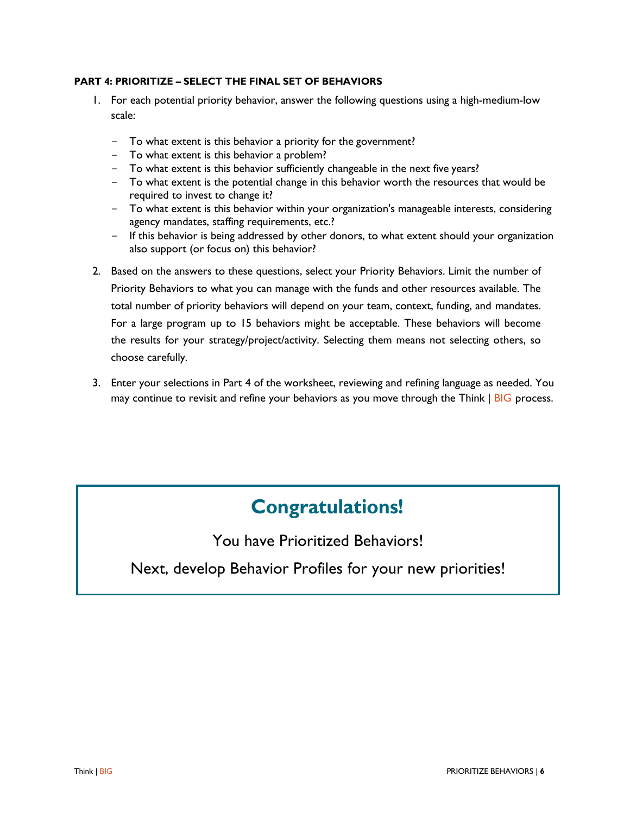#### <span id="page-7-0"></span>**PART 4: PRIORITIZE – SELECT THE FINAL SET OF BEHAVIORS**

- 1. For each potential priority behavior, answer the following questions using a high-medium-low scale:
	- To what extent is this behavior a priority for the government?
	- To what extent is this behavior a problem?
	- To what extent is this behavior sufficiently changeable in the next five years?
	- To what extent is the potential change in this behavior worth the resources that would be required to invest to change it?
	- To what extent is this behavior within your organization's manageable interests, considering agency mandates, staffing requirements, etc.?
	- If this behavior is being addressed by other donors, to what extent should your organization also support (or focus on) this behavior?
- 2. Based on the answers to these questions, select your Priority Behaviors. Limit the number of Priority Behaviors to what you can manage with the funds and other resources available. The total number of priority behaviors will depend on your team, context, funding, and mandates. For a large program up to 15 behaviors might be acceptable. These behaviors will become the results for your strategy/project/activity. Selecting them means not selecting others, so choose carefully.
- 3. Enter your selections in Part 4 of the worksheet, reviewing and refining language as needed. You may continue to revisit and refine your behaviors as you move through the Think | BIG process.

# **Congratulations!**

You have Prioritized Behaviors!

Next, develop [Behavior Profiles f](https://thinkbigonline.org/resources)or your new priorities!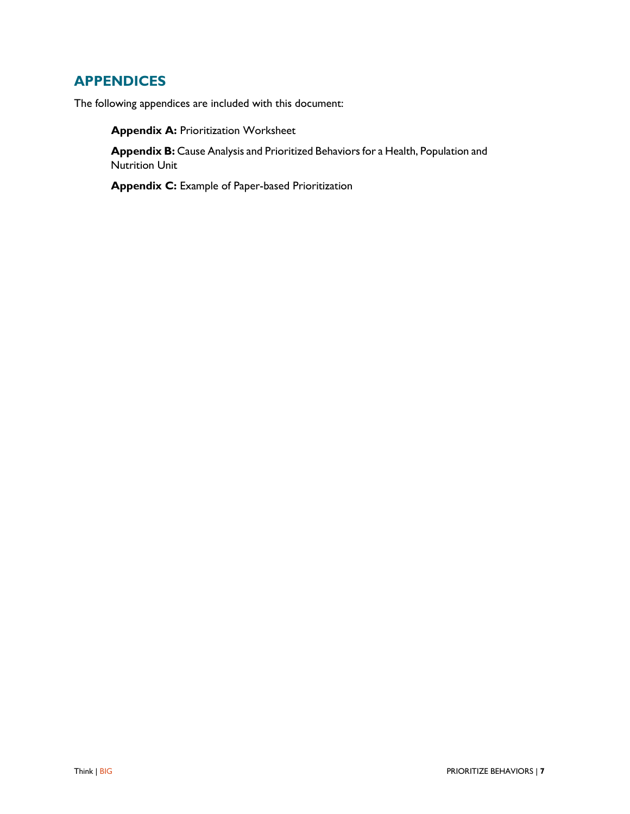# <span id="page-8-0"></span>**APPENDICES**

The following appendices are included with this document:

**Appendix A: Prioritization Worksheet** 

**Appendix B:** Cause Analysis and Prioritized Behaviors for a Health, Population and Nutrition Unit

**Appendix C:** Example of Paper-based Prioritization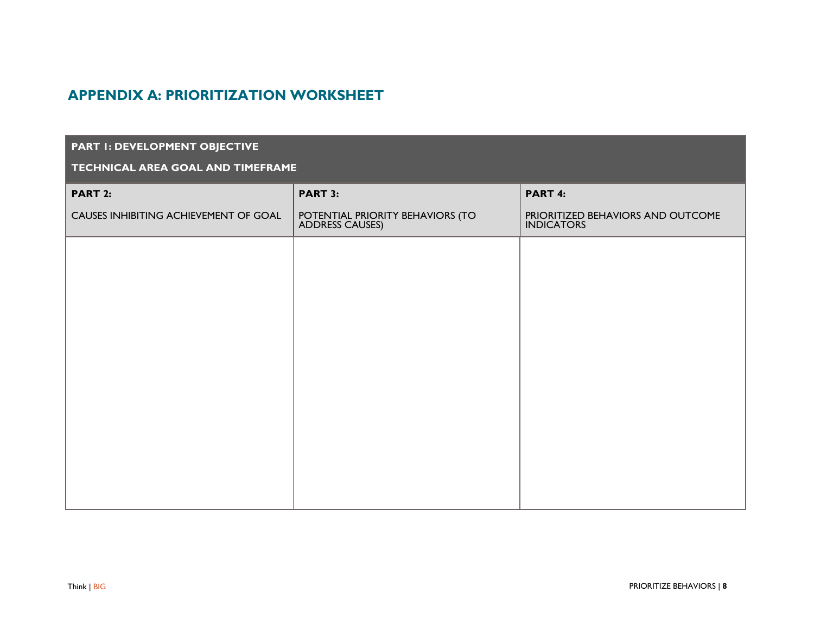## **APPENDIX A: PRIORITIZATION WORKSHEET**

#### **PART 1: DEVELOPMENT OBJECTIVE**

#### **TECHNICAL AREA GOAL AND TIMEFRAME**

<span id="page-9-0"></span>

| <b>PART 2:</b>                        | <b>PART 3:</b>                                      | PART 4:                                                |
|---------------------------------------|-----------------------------------------------------|--------------------------------------------------------|
| CAUSES INHIBITING ACHIEVEMENT OF GOAL | POTENTIAL PRIORITY BEHAVIORS (TO<br>ADDRESS CAUSES) | PRIORITIZED BEHAVIORS AND OUTCOME<br><b>INDICATORS</b> |
|                                       |                                                     |                                                        |
|                                       |                                                     |                                                        |
|                                       |                                                     |                                                        |
|                                       |                                                     |                                                        |
|                                       |                                                     |                                                        |
|                                       |                                                     |                                                        |
|                                       |                                                     |                                                        |
|                                       |                                                     |                                                        |
|                                       |                                                     |                                                        |
|                                       |                                                     |                                                        |
|                                       |                                                     |                                                        |
|                                       |                                                     |                                                        |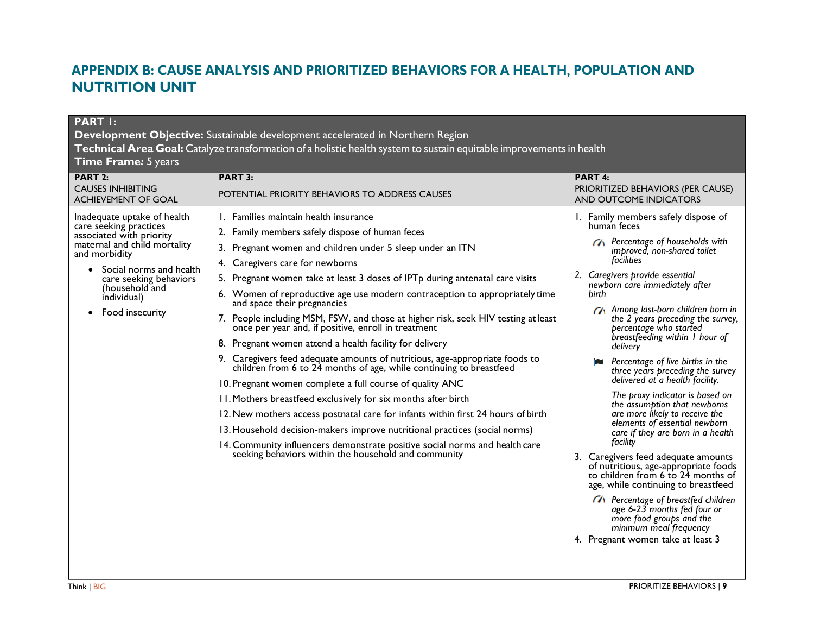# **APPENDIX B: CAUSE ANALYSIS AND PRIORITIZED BEHAVIORS FOR A HEALTH, POPULATION AND NUTRITION UNIT**

#### **PART 1:**

**Development Objective:** Sustainable development accelerated in Northern Region

**Technical Area Goal:** Catalyze transformation of a holistic health system to sustain equitable improvements in health

### **Time Frame***:* 5 years

<span id="page-10-0"></span>

| <b>PART 2:</b>                                                                                                                                                                                                                                           | <b>PART 3:</b>                                                                                                                                                                                                                                                                                                                                                                                                                                                                                                                                                                                                                                                                                                                                                                                                                                                                                                                                                                                                                                                                                                                                                                         | PART 4:                                                                                                                                                                                                                                                                                                                                                                                                                                                                                                                                                                                                                                                                                                                                                                                                                                                                                                                                                                                                            |
|----------------------------------------------------------------------------------------------------------------------------------------------------------------------------------------------------------------------------------------------------------|----------------------------------------------------------------------------------------------------------------------------------------------------------------------------------------------------------------------------------------------------------------------------------------------------------------------------------------------------------------------------------------------------------------------------------------------------------------------------------------------------------------------------------------------------------------------------------------------------------------------------------------------------------------------------------------------------------------------------------------------------------------------------------------------------------------------------------------------------------------------------------------------------------------------------------------------------------------------------------------------------------------------------------------------------------------------------------------------------------------------------------------------------------------------------------------|--------------------------------------------------------------------------------------------------------------------------------------------------------------------------------------------------------------------------------------------------------------------------------------------------------------------------------------------------------------------------------------------------------------------------------------------------------------------------------------------------------------------------------------------------------------------------------------------------------------------------------------------------------------------------------------------------------------------------------------------------------------------------------------------------------------------------------------------------------------------------------------------------------------------------------------------------------------------------------------------------------------------|
| <b>CAUSES INHIBITING</b><br><b>ACHIEVEMENT OF GOAL</b>                                                                                                                                                                                                   | POTENTIAL PRIORITY BEHAVIORS TO ADDRESS CAUSES                                                                                                                                                                                                                                                                                                                                                                                                                                                                                                                                                                                                                                                                                                                                                                                                                                                                                                                                                                                                                                                                                                                                         | PRIORITIZED BEHAVIORS (PER CAUSE)<br><b>AND OUTCOME INDICATORS</b>                                                                                                                                                                                                                                                                                                                                                                                                                                                                                                                                                                                                                                                                                                                                                                                                                                                                                                                                                 |
| Inadequate uptake of health<br>care seeking practices<br>associated with priority<br>maternal and child mortality<br>and morbidity<br>Social norms and health<br>$\bullet$<br>care seeking behaviors<br>(household and<br>individual)<br>Food insecurity | 1. Families maintain health insurance<br>2. Family members safely dispose of human feces<br>3. Pregnant women and children under 5 sleep under an ITN<br>4. Caregivers care for newborns<br>5. Pregnant women take at least 3 doses of IPTp during antenatal care visits<br>6. Women of reproductive age use modern contraception to appropriately time<br>and space their pregnancies<br>7. People including MSM, FSW, and those at higher risk, seek HIV testing at least<br>once per year and, if positive, enroll in treatment<br>8. Pregnant women attend a health facility for delivery<br>9. Caregivers feed adequate amounts of nutritious, age-appropriate foods to children from 6 to 24 months of age, while continuing to breastfeed<br>10. Pregnant women complete a full course of quality ANC<br>11. Mothers breastfeed exclusively for six months after birth<br>12. New mothers access postnatal care for infants within first 24 hours of birth<br>13. Household decision-makers improve nutritional practices (social norms)<br>14. Community influencers demonstrate positive social norms and health care<br>seeking behaviors within the household and community | 1. Family members safely dispose of<br>human feces<br>CA Percentage of households with<br>improved, non-shared toilet<br>facilities<br>2. Caregivers provide essential<br>newborn care immediately after<br>birth<br><b>CA</b> Among last-born children born in<br>the 2 years preceding the survey,<br>percentage who started<br>breastfeeding within I hour of<br>delivery<br>Percentage of live births in the<br>three years preceding the survey<br>delivered at a health facility.<br>The proxy indicator is based on<br>the assumption that newborns<br>are more likely to receive the<br>elements of essential newborn<br>care if they are born in a health<br>facility<br>3. Caregivers feed adequate amounts<br>of nutritious, age-appropriate foods<br>to children from 6 to 24 months of<br>age, while continuing to breastfeed<br><b>CA</b> Percentage of breastfed children<br>age 6-23 months fed four or<br>more food groups and the<br>minimum meal frequency<br>4. Pregnant women take at least 3 |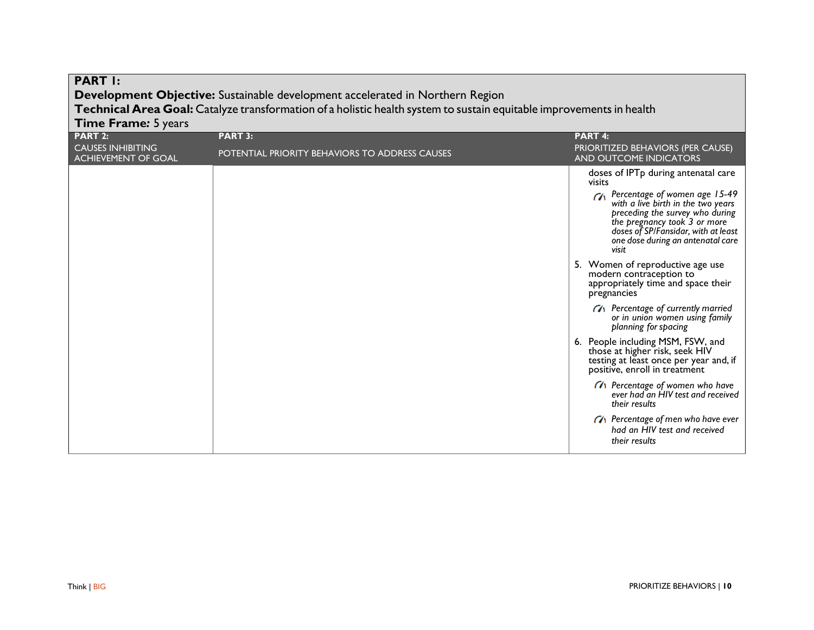| <b>PART I:</b>                                                                |                                                                                                                      |                                                                                                                                                                                                                                |  |
|-------------------------------------------------------------------------------|----------------------------------------------------------------------------------------------------------------------|--------------------------------------------------------------------------------------------------------------------------------------------------------------------------------------------------------------------------------|--|
| Development Objective: Sustainable development accelerated in Northern Region |                                                                                                                      |                                                                                                                                                                                                                                |  |
|                                                                               | Technical Area Goal: Catalyze transformation of a holistic health system to sustain equitable improvements in health |                                                                                                                                                                                                                                |  |
| <b>Time Frame: 5 years</b>                                                    |                                                                                                                      |                                                                                                                                                                                                                                |  |
| <b>PART 2:</b>                                                                | <b>PART 3:</b>                                                                                                       | <b>PART 4:</b>                                                                                                                                                                                                                 |  |
| <b>CAUSES INHIBITING</b><br><b>ACHIEVEMENT OF GOAL</b>                        | POTENTIAL PRIORITY BEHAVIORS TO ADDRESS CAUSES                                                                       | PRIORITIZED BEHAVIORS (PER CAUSE)<br>AND OUTCOME INDICATORS                                                                                                                                                                    |  |
|                                                                               |                                                                                                                      | doses of IPTp during antenatal care<br>visits                                                                                                                                                                                  |  |
|                                                                               |                                                                                                                      | CA Percentage of women age 15-49<br>with a live birth in the two years<br>preceding the survey who during<br>the pregnancy took 3 or more<br>doses of SP/Fansidar, with at least<br>one dose during an antenatal care<br>visit |  |
|                                                                               |                                                                                                                      | 5. Women of reproductive age use<br>modern contraception to<br>appropriately time and space their<br>pregnancies                                                                                                               |  |
|                                                                               |                                                                                                                      | <b>CA</b> Percentage of currently married<br>or in union women using family<br>planning for spacing                                                                                                                            |  |
|                                                                               |                                                                                                                      | 6. People including MSM, FSW, and<br>those at higher risk, seek HIV<br>testing at least once per year and, if<br>positive, enroll in treatment                                                                                 |  |
|                                                                               |                                                                                                                      | TA Percentage of women who have<br>ever had an HIV test and received<br>their results                                                                                                                                          |  |
|                                                                               |                                                                                                                      | <b>CA</b> Percentage of men who have ever<br>had an HIV test and received<br>their results                                                                                                                                     |  |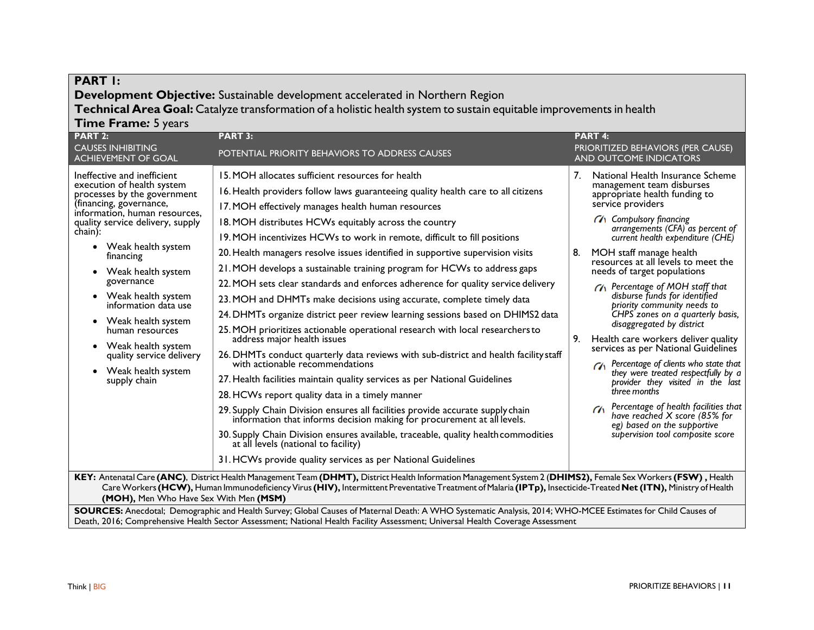|                                                                                                                                                                                                                                                                                                                                                                                                                                                                   | <b>Development Objective:</b> Sustainable development accelerated in Northern Region                                                                                                                                                                                                                                                                                                                                                                                                                                                                                                                                                                                                                                                                                                                                                                                                                                                                                                                                                                                                                                                                                                                                                                                                                                                                                                                                                                                               |                |                                                                                                                                                                                                                                                                                                                                                                                                                                                                                                                                                                                                                                                                                                                                                                                                                                                                                     |
|-------------------------------------------------------------------------------------------------------------------------------------------------------------------------------------------------------------------------------------------------------------------------------------------------------------------------------------------------------------------------------------------------------------------------------------------------------------------|------------------------------------------------------------------------------------------------------------------------------------------------------------------------------------------------------------------------------------------------------------------------------------------------------------------------------------------------------------------------------------------------------------------------------------------------------------------------------------------------------------------------------------------------------------------------------------------------------------------------------------------------------------------------------------------------------------------------------------------------------------------------------------------------------------------------------------------------------------------------------------------------------------------------------------------------------------------------------------------------------------------------------------------------------------------------------------------------------------------------------------------------------------------------------------------------------------------------------------------------------------------------------------------------------------------------------------------------------------------------------------------------------------------------------------------------------------------------------------|----------------|-------------------------------------------------------------------------------------------------------------------------------------------------------------------------------------------------------------------------------------------------------------------------------------------------------------------------------------------------------------------------------------------------------------------------------------------------------------------------------------------------------------------------------------------------------------------------------------------------------------------------------------------------------------------------------------------------------------------------------------------------------------------------------------------------------------------------------------------------------------------------------------|
|                                                                                                                                                                                                                                                                                                                                                                                                                                                                   | Technical Area Goal: Catalyze transformation of a holistic health system to sustain equitable improvements in health                                                                                                                                                                                                                                                                                                                                                                                                                                                                                                                                                                                                                                                                                                                                                                                                                                                                                                                                                                                                                                                                                                                                                                                                                                                                                                                                                               |                |                                                                                                                                                                                                                                                                                                                                                                                                                                                                                                                                                                                                                                                                                                                                                                                                                                                                                     |
| <b>Time Frame: 5 years</b><br><b>PART 2:</b><br><b>CAUSES INHIBITING</b><br><b>ACHIEVEMENT OF GOAL</b>                                                                                                                                                                                                                                                                                                                                                            | <b>PART 3:</b><br>POTENTIAL PRIORITY BEHAVIORS TO ADDRESS CAUSES                                                                                                                                                                                                                                                                                                                                                                                                                                                                                                                                                                                                                                                                                                                                                                                                                                                                                                                                                                                                                                                                                                                                                                                                                                                                                                                                                                                                                   |                | <b>PART 4:</b><br>PRIORITIZED BEHAVIORS (PER CAUSE)<br>AND OUTCOME INDICATORS                                                                                                                                                                                                                                                                                                                                                                                                                                                                                                                                                                                                                                                                                                                                                                                                       |
| Ineffective and inefficient<br>execution of health system<br>processes by the government<br>(financing, governance,<br>information, human resources,<br>quality service delivery, supply<br>chain):<br>Weak health system<br>financing<br>• Weak health system<br>governance<br>• Weak health system<br>information data use<br>• Weak health system<br>human resources<br>• Weak health system<br>quality service delivery<br>Weak health system<br>supply chain | 15. MOH allocates sufficient resources for health<br>16. Health providers follow laws guaranteeing quality health care to all citizens<br>17. MOH effectively manages health human resources<br>18. MOH distributes HCWs equitably across the country<br>19. MOH incentivizes HCWs to work in remote, difficult to fill positions<br>20. Health managers resolve issues identified in supportive supervision visits<br>21. MOH develops a sustainable training program for HCWs to address gaps<br>22. MOH sets clear standards and enforces adherence for quality service delivery<br>23. MOH and DHMTs make decisions using accurate, complete timely data<br>24. DHMTs organize district peer review learning sessions based on DHIMS2 data<br>25. MOH prioritizes actionable operational research with local researchers to<br>address major health issues<br>26. DHMTs conduct quarterly data reviews with sub-district and health facility staff<br>with actionable recommendations<br>27. Health facilities maintain quality services as per National Guidelines<br>28. HCWs report quality data in a timely manner<br>29. Supply Chain Division ensures all facilities provide accurate supply chain information that informs decision making for procurement at all levels.<br>30. Supply Chain Division ensures available, traceable, quality health commodities<br>at all levels (national to facility)<br>31. HCWs provide quality services as per National Guidelines | 7.<br>8.<br>9. | National Health Insurance Scheme<br>management team disburses<br>appropriate health funding to<br>service providers<br><b>CA</b> Compulsory financing<br>arrangements (CFA) as percent of<br>current health expenditure (CHE)<br>MOH staff manage health<br>resources at all levels to meet the<br>needs of target populations<br><b>CA</b> Percentage of MOH staff that<br>disburse funds for identified<br>priority community needs to<br>CHPS zones on a quarterly basis,<br>disaggregated by district<br>Health care workers deliver quality<br>services as per National Guidelines<br>Percentage of clients who state that<br>they were treated respectfully by a<br>provider they visited in the last<br>three months<br>Percentage of health facilities that<br>$\alpha$<br>have reached X score (85% for<br>eg) based on the supportive<br>supervision tool composite score |
| (MOH), Men Who Have Sex With Men (MSM)                                                                                                                                                                                                                                                                                                                                                                                                                            | KEY: Antenatal Care (ANC), District Health Management Team (DHMT), District Health Information Management System 2 (DHIMS2), Female Sex Workers (FSW), Health<br>Care Workers (HCW), Human Immunodeficiency Virus (HIV), Intermittent Preventative Treatment of Malaria (IPTp), Insecticide-Treated Net (ITN), Ministry of Health                                                                                                                                                                                                                                                                                                                                                                                                                                                                                                                                                                                                                                                                                                                                                                                                                                                                                                                                                                                                                                                                                                                                                  |                |                                                                                                                                                                                                                                                                                                                                                                                                                                                                                                                                                                                                                                                                                                                                                                                                                                                                                     |
|                                                                                                                                                                                                                                                                                                                                                                                                                                                                   | SOURCES: Anecdotal; Demographic and Health Survey; Global Causes of Maternal Death: A WHO Systematic Analysis, 2014; WHO-MCEE Estimates for Child Causes of<br>Death, 2016; Comprehensive Health Sector Assessment; National Health Facility Assessment; Universal Health Coverage Assessment                                                                                                                                                                                                                                                                                                                                                                                                                                                                                                                                                                                                                                                                                                                                                                                                                                                                                                                                                                                                                                                                                                                                                                                      |                |                                                                                                                                                                                                                                                                                                                                                                                                                                                                                                                                                                                                                                                                                                                                                                                                                                                                                     |

**PART 1:**